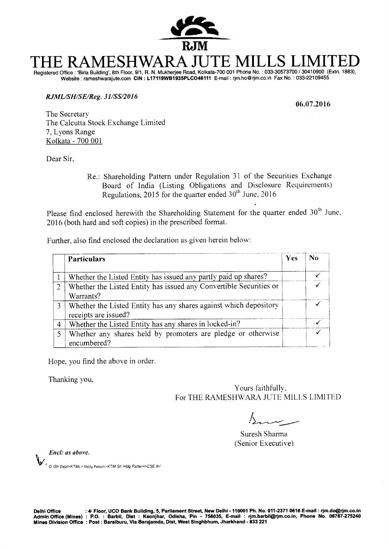

# **THE RAMESHWARA JUTE MILLS LIMITED**  Registered Office : 'Birla Building', 8th Floor, 9/1, R. N. Mukherjee Road, Kolkata-700 001 Phone No. : 033-30573700 / 30410900 (Extn. 1883),

Website : rameshwarajute.com **CIN : L17119WB1935PLC046111** E-mail : rjm.ho@rjm.co.in Fax No. : 033-22109455

### **RJML/SH/SE/Reg. 3 1/SS/201 6**

**06.07.2016** 

The Secretary The Calcutta Stock Exchange Limited 7, Lyons Range Kolkata - 700 001

Dear Sir,

Re.: Shareholding Pattern under Regulation 31 of the Securities Exchange Board of India (Listing Obligations and Disclosure Requirements) Regulations, 2015 for the quarter ended  $30<sup>th</sup>$  June, 2016

Please find enclosed herewith the Shareholding Statement for the quarter ended  $30<sup>th</sup>$  June, 2016 (both hard and soft copies) in the prescribed format.

Further, also find enclosed the declaration as given herein below:

|                | Particulars                                                                               | Yes | No |
|----------------|-------------------------------------------------------------------------------------------|-----|----|
|                | Whether the Listed Entity has issued any partly paid up shares?                           |     |    |
| 2              | Whether the Listed Entity has issued any Convertible Securities or<br>Warrants?           |     |    |
|                | Whether the Listed Entity has any shares against which depository<br>receipts are issued? |     |    |
| $\overline{4}$ | Whether the Listed Entity has any shares in locked-in?                                    |     |    |
|                | Whether any shares held by promoters are pledge or otherwise<br>encumbered?               |     |    |

Hope, you find the above in order.

Thanking you,

Yours faithfully, For THE RAMESHWARA JUTE MILLS LIMITED

Suresh Sharma (Senior Executive)

Encl: as above.

 $\bm{W}$   $\cdot$   $_{D:\text{lSh}}$  Dept>KTML> <code>Shidg Pattern>KTM</code> Sh Hidg Pattern>CSE Itr/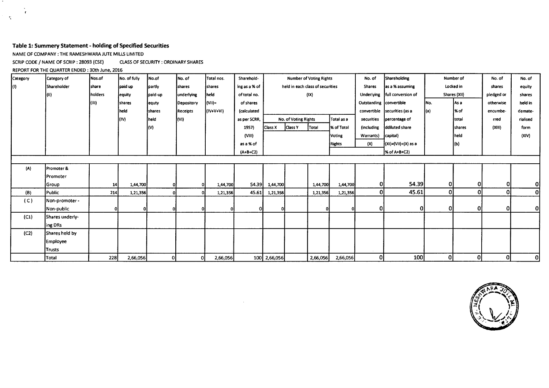### **Table 1: Summery Statement - holding of Specified Securities**

NAME OF COMPANY : THE RAMESHWARA JUTE MILLS LIMITED

SCRIP CODE / NAME OF SCRIP : 28093 (CSE) CLASS OF SECURITY : ORDINARY SHARES

REPORT FOR THE QUARTER ENDED : 30th June, 2016

 $\mathbf{A}$  $\epsilon$ 

 $\mathbf{r}$ 

| Category | Category of      | Nos.of     | No. of fully | No.of   | No. of                | Total nos.     | Sharehold-    | <b>Number of Voting Rights</b> |                      |                                  | No. of     | Shareholding            | Number of                    |      | No. of        | No. of     |          |
|----------|------------------|------------|--------------|---------|-----------------------|----------------|---------------|--------------------------------|----------------------|----------------------------------|------------|-------------------------|------------------------------|------|---------------|------------|----------|
| IO.      | Shareholder      | share      | paid up      | partly  | <i><b>Ishares</b></i> | <b>Ishares</b> | ing as a % of |                                |                      | held in each class of securities |            | <b>Shares</b>           | as a % assuming              |      | Locked in     | shares     | equity   |
|          | III              | holders    | equity       | paid-up | underlying            | held           | of total no.  |                                |                      | (1)                              |            | Underlying              | full conversion of           |      | Shares (XII)  | pledged or | shares   |
|          |                  | (111)      | shares       | equty   | Depository            | (VII)=         | of shares     |                                |                      |                                  |            | Outstanding Convertible |                              | INo. | lAs a         | otherwise  | held in  |
|          |                  |            | held         | shares  | Receipts              | $(IV+V+VI)$    | (calculated   |                                |                      |                                  |            |                         | convertible securities (as a | (a)  | l% of         | encumbe-   | demate-  |
|          |                  |            | (IV)         | held    | (VI)                  |                | as per SCRR,  |                                | No. of Voting Rights |                                  | Total as a | securities              | percentage of                |      | <b>Itotal</b> | rred       | rialised |
|          |                  |            |              | l(۷)    |                       |                | 1957)         | Class X                        | <b>Class Y</b>       | Total                            | % of Total | (including              | ddiluted share               |      | shares        | (XIII)     | form     |
|          |                  |            |              |         |                       |                | (VIII)        |                                | <b>Voting</b>        |                                  |            | Warrants)               | capital)                     |      | held          |            | (XIV)    |
|          |                  |            |              |         |                       |                | as a % of     |                                | <b>Rights</b>        |                                  |            | (X)                     | $(x) = (V1) + (X)$ as a      |      | (b)           |            |          |
|          |                  |            |              |         |                       |                | $(A+B+C2)$    |                                |                      |                                  |            |                         | % of A+B+C2)                 |      |               |            |          |
|          |                  |            |              |         |                       |                |               |                                |                      |                                  |            |                         |                              |      |               |            |          |
| (A)      | Promoter &       |            |              |         |                       |                |               |                                |                      |                                  |            |                         |                              |      |               |            |          |
|          | <b>IPromoter</b> |            |              |         |                       |                |               |                                |                      |                                  |            |                         |                              |      |               |            |          |
|          | Group            | 14         | 1,44,700     |         |                       | 1,44,700       | 54.39         | 1,44,700                       |                      | 1,44,700                         | 1,44,700   | 0I                      | 54.39                        | Οl   | 0             | Οl         | Οl       |
| (B)      | Public           | 214        | 1,21,356     |         |                       | 1,21,356       | 45.61         | 1,21,356                       |                      | 1,21,356                         | 1,21,356   | 0l                      | 45.61                        | 0    | <sub>0</sub>  | Οl         | 0        |
| (C)      | Non-promoter -   |            |              |         |                       |                |               |                                |                      |                                  |            |                         |                              |      |               |            |          |
|          | Non-public       |            | 01           |         | ∩                     |                |               |                                |                      | $\Omega$                         |            | 0.                      | $\mathbf{O}$                 | Οl   | 0l            | ΟI         | 0        |
| (C1)     | Shares underly-  |            |              |         |                       |                |               |                                |                      |                                  |            |                         |                              |      |               |            |          |
|          | ing DRs          |            |              |         |                       |                |               |                                |                      |                                  |            |                         |                              |      |               |            |          |
| (C2)     | Shares held by   |            |              |         |                       |                |               |                                |                      |                                  |            |                         |                              |      |               |            |          |
|          | <b>Employee</b>  |            |              |         |                       |                |               |                                |                      |                                  |            |                         |                              |      |               |            |          |
|          | Trusts           |            |              |         |                       |                |               |                                |                      |                                  |            |                         |                              |      |               |            |          |
|          | Total            | <b>228</b> | 2,66,056     | οI      | οI                    | 2,66,056       |               | 100 2,66,056                   |                      | 2,66,056                         | 2,66,056   | Ol                      | 100                          | Οl   | 0             | 0l         | 0        |

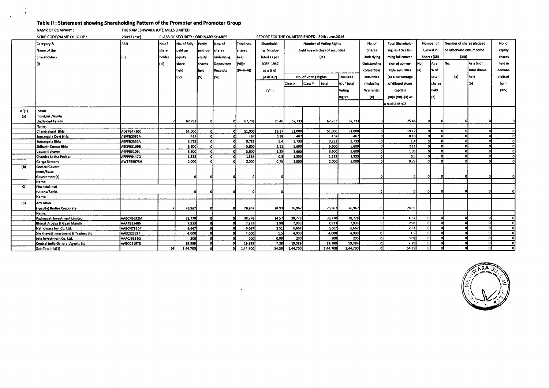### **Table II : Statement showing Shareholding Pattern of the Promoter and Promoter Group**

NAMR OF COMPANY : THE RAMESHWARA JUTE MILLS LIMITED

 $\sim 10^7$ 

 $\ddot{\phantom{1}}$ 

 $\Lambda$ 

|       | SCRIP CODE/NAME OF SRCIP:            | 28093 (cse)                     | CLASS OF SECURITY : ORDINARY SHARES |                |                |                 |                | REPORT FOR THE QUARTER ENDED: 30th June, 2016 |                                |                      |                                  |                       |                          |                          |     |                     |                          |              |          |
|-------|--------------------------------------|---------------------------------|-------------------------------------|----------------|----------------|-----------------|----------------|-----------------------------------------------|--------------------------------|----------------------|----------------------------------|-----------------------|--------------------------|--------------------------|-----|---------------------|--------------------------|--------------|----------|
|       | Category &                           | PAN                             | No.of                               | No. of fully   | Partiv         | Nos. of         | Total nos.     | Sharehold-                                    | <b>Number of Voting Rights</b> |                      |                                  |                       | No. of                   | Total Sharehold-         |     | Number of           | Number of shares pledged |              | No. of   |
|       | Name of the                          |                                 | share                               | paid up        | paid-up        | shares          | shares         | ing % calcu-                                  |                                |                      | held in each class of securities |                       | <b>Shares</b>            | ing, as a % assu-        |     | Locked in           | or otherwise encumbered  |              | equity   |
|       | Shareholders                         | I(II)                           | holder                              | <b>Jequity</b> | equty          | underlying      | held           | lated as per                                  |                                |                      | (IX)                             |                       | <b>Underlying</b>        | ming full conver-        |     | <b>Shares (XII)</b> | (X11)                    |              | shares   |
|       |                                      |                                 | m                                   | share          | <b>Ishares</b> | Depository      | $(V(1)) =$     | <b>SCRR, 1957</b>                             |                                |                      |                                  |                       | Outstanding              | sion of conver-          | No. | lAs a               | Ino.                     | As a % of    | held in  |
|       |                                      |                                 |                                     |                |                |                 |                |                                               |                                |                      |                                  |                       |                          |                          |     |                     |                          |              |          |
|       |                                      |                                 |                                     | held           | held           | <b>Receipts</b> | $(IV+V+VI)$    | as a % of                                     |                                |                      |                                  |                       | convertible              | tible securities         | (a) | X of                |                          | total shares | demate-  |
|       |                                      |                                 |                                     | (IV)           | lM.            | I(Vi).          |                | $(A+B+C2)$                                    |                                | No. of Voting Rights |                                  | Total as a            | securities               | (as a percentage         |     | total               | (a)                      | held         | rialised |
|       |                                      |                                 |                                     |                |                |                 |                |                                               | Class X                        | <b>Class Y</b>       | Total                            | <b>X of Total</b>     | <i><b>(including</b></i> | of diluted share         |     | shares              |                          | l(Ы          | form     |
|       |                                      |                                 |                                     |                |                |                 |                | (VIII)                                        |                                |                      |                                  | Voting                | Warrants)                | capital)                 |     | held                |                          |              | (XiV)    |
|       |                                      |                                 |                                     |                |                |                 |                |                                               | <b>Rights</b>                  |                      | (X)                              | $(XI) = (VII)+(X)$ as |                          | I(b)                     |     |                     |                          |              |          |
|       |                                      |                                 |                                     |                |                |                 |                |                                               |                                |                      |                                  |                       |                          |                          |     |                     |                          |              |          |
|       |                                      |                                 |                                     |                |                |                 |                |                                               |                                |                      |                                  |                       |                          | a % of A+B+C2            |     |                     |                          |              |          |
| A'(1) | indian                               |                                 |                                     |                |                |                 |                |                                               |                                |                      |                                  |                       |                          |                          |     |                     |                          |              |          |
| (a)   | Individual/Hindu                     |                                 |                                     |                |                |                 |                |                                               |                                |                      |                                  |                       |                          |                          |     |                     |                          |              |          |
|       | Undivided Family                     |                                 |                                     | 67,733         |                | n               | 67,733         | 25.46                                         | 67,733                         |                      | 67,733                           | 67,733                |                          | 25.46                    |     |                     |                          |              | οl       |
|       | Name:                                |                                 |                                     |                |                |                 |                |                                               |                                |                      |                                  |                       |                          | 19.17                    |     |                     |                          |              | ΩI       |
|       | Chandrakant Birla                    | ADZPB4710C                      |                                     | 51,000         |                |                 | 51,000         | 19.17                                         | 51,000                         |                      | 51,000                           | 51,000                |                          |                          |     |                     |                          |              | ΩI       |
|       | Sumangala Devi Birla                 | AEFPB2335A                      |                                     | 467            |                |                 | 467            | 0.18                                          | 467                            |                      | 467<br>3,733                     | 467<br>3.733          |                          | 0.18                     |     |                     |                          |              | οI       |
|       | Sumangala Birla                      | AEFPB2335A                      |                                     | 3,733          |                |                 | 3,733          | 1.4                                           | 3,733<br>5,600                 |                      | 5,600                            | 5,600                 |                          | 1.4<br>$\overline{2.11}$ |     |                     |                          |              |          |
|       | Sidharth Kumar Birla                 | <b>AEKPB3109B</b>               |                                     | 5,600          |                |                 | 5,600          | 2.11<br>1,35                                  |                                |                      | 3,600                            | 3,600                 |                          | 1.35                     |     |                     |                          |              | ΩI       |
|       | Vasusri i Jhaver                     | AEFPB3109L                      |                                     | 3,600          |                |                 | 3,600<br>1,333 | 0.5                                           | 3,600<br>1,333                 |                      | 1,333                            | 1,333                 |                          | 0.5                      |     |                     |                          |              |          |
|       | Chandra Lekha Poddar                 | AFPPP6447Q<br><b>AWZP59078H</b> |                                     | 1,333<br>2.000 |                |                 | 2,000          | 0.75                                          | 2,000                          |                      | 2.000                            | 2,000                 |                          | 0.75                     | nı  |                     |                          |              |          |
|       | Ganga Somany<br>Central Govern-      |                                 |                                     |                |                |                 |                |                                               |                                |                      |                                  |                       |                          |                          |     |                     |                          |              |          |
| (b)   | ment/5tate                           |                                 |                                     |                |                |                 |                |                                               |                                |                      |                                  |                       |                          |                          |     |                     |                          |              |          |
|       | Government(s)                        |                                 |                                     |                |                |                 |                | Ω                                             |                                |                      |                                  |                       |                          |                          |     |                     |                          |              |          |
|       | Mame:                                |                                 |                                     |                |                |                 |                |                                               |                                |                      |                                  |                       |                          |                          |     |                     |                          |              |          |
| O     | Financial Insti-                     |                                 |                                     |                |                |                 |                |                                               |                                |                      |                                  |                       |                          |                          |     |                     |                          |              |          |
|       | tutions/Banks                        |                                 |                                     |                |                |                 |                |                                               |                                |                      |                                  |                       |                          |                          |     |                     |                          |              |          |
|       | Mame:                                |                                 |                                     |                |                |                 |                |                                               |                                |                      |                                  |                       |                          |                          |     |                     |                          |              |          |
| (d)   | Any other                            |                                 |                                     |                |                |                 |                |                                               |                                |                      |                                  |                       |                          |                          |     |                     |                          |              |          |
|       | (specify) Bodies Corporate           |                                 |                                     | 76,967         |                | 0               | 76,967         | 28.93                                         | 76,967                         |                      | 76,967                           | 76,967                |                          | 28.93                    |     |                     |                          |              |          |
|       | Mame:                                |                                 |                                     |                |                |                 |                |                                               |                                |                      |                                  |                       |                          |                          |     |                     |                          |              |          |
|       | Padmavati Investment Limited         | AABCPB632M                      |                                     | 38,778         |                |                 | 38,778         | 14.57                                         | 38,778                         |                      | 38,778                           | 38,778                |                          | 14.57                    | ΩI  |                     |                          |              |          |
|       | Bharat Arogya & Gyan Mandir          | AAATB3540N                      |                                     | 7,933          |                |                 | 7,933          | 2.98                                          | 7,933                          |                      | 7,933                            | 7,933                 |                          | 2.98                     |     |                     |                          |              |          |
|       | Nathdwara Inv. Co. Ltd.              | AABCN7830P                      |                                     | 6,667          | -ol            |                 | 6,667          | 2.51                                          | 6,667                          |                      | 6,667                            | 6,667                 |                          | 2.51                     | Ωl  |                     |                          |              |          |
|       | Shekhavati Investment & Traders Ltd. | AAECS2321P                      |                                     | 4,000          | ി              |                 | 4,000          | 1.5                                           | 4,000                          |                      | 4,000                            | 4,000                 |                          | 1.5                      |     |                     |                          |              |          |
|       | Jute Investment Co. Ltd.             | AAACJ6331Q                      |                                     | 200            | ി              |                 | 200            | 0.08                                          | 200                            |                      | 200                              | $\overline{200}$      |                          | 0.08                     |     |                     |                          |              |          |
|       | Central India General Agents Ltd.    | AABCC2197E                      |                                     | 19,389         |                |                 | 19,389         | 7.29                                          | 19,389                         |                      | 19,389                           | 19,389                |                          | 7.29                     |     |                     |                          |              | $\Omega$ |
|       | Sub-Total (A)(1)                     |                                 | 14                                  | 1,44,700       | $\Omega$       |                 | 1,44,700       | 54.39                                         | 1,44,700                       |                      | 1,44,700                         | 1,44,700              |                          | 54.39                    |     |                     |                          |              |          |

J.

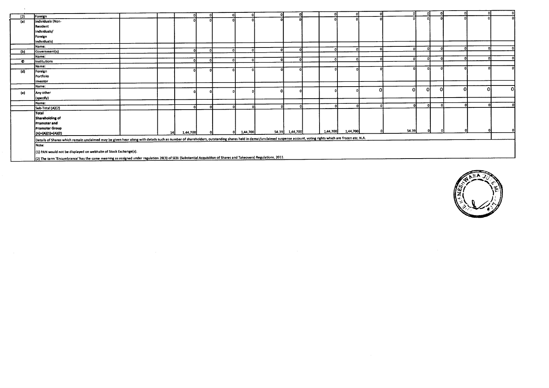| (2) | Foreign                                                                                                                                                                                                             |      |          |  |          |   |                |          |          |          |    |   |    |    |          |
|-----|---------------------------------------------------------------------------------------------------------------------------------------------------------------------------------------------------------------------|------|----------|--|----------|---|----------------|----------|----------|----------|----|---|----|----|----------|
| (a) | Individuals (Non-                                                                                                                                                                                                   |      |          |  |          |   |                |          |          |          |    |   |    |    |          |
|     | Resident                                                                                                                                                                                                            |      |          |  |          |   |                |          |          |          |    |   |    |    |          |
|     | individuals/                                                                                                                                                                                                        |      |          |  |          |   |                |          |          |          |    |   |    |    |          |
|     | Foreign                                                                                                                                                                                                             |      |          |  |          |   |                |          |          |          |    |   |    |    |          |
|     | individuals)                                                                                                                                                                                                        |      |          |  |          |   |                |          |          |          |    |   |    |    |          |
|     | Name:                                                                                                                                                                                                               |      |          |  |          |   |                |          |          | n.       |    |   |    |    |          |
| (b) | Government(s)                                                                                                                                                                                                       |      | പ        |  |          |   |                |          |          |          |    |   |    |    |          |
|     | Name:                                                                                                                                                                                                               |      |          |  |          |   |                |          |          | $\Omega$ |    |   |    |    |          |
| ۰   | Institutions                                                                                                                                                                                                        |      | ΩI       |  |          |   |                |          |          |          |    |   |    |    |          |
|     | Name:                                                                                                                                                                                                               |      |          |  |          |   |                |          |          | n        |    |   |    |    |          |
| (d) | Foreign                                                                                                                                                                                                             |      |          |  |          |   |                |          |          |          |    |   |    |    |          |
|     | Portfolio                                                                                                                                                                                                           |      |          |  |          |   |                |          |          |          |    |   |    |    |          |
|     | investor                                                                                                                                                                                                            |      |          |  |          |   |                |          |          |          |    |   |    |    |          |
|     | Name:                                                                                                                                                                                                               |      |          |  |          |   |                |          |          |          |    |   | ΩL | Ωł | $\Omega$ |
| (e) | Any other                                                                                                                                                                                                           |      |          |  |          | o |                |          |          | 0l       | ΩI | ി |    |    |          |
|     | (specify)                                                                                                                                                                                                           |      |          |  |          |   |                |          |          |          |    |   |    |    |          |
|     | Name:                                                                                                                                                                                                               |      |          |  |          |   |                |          |          |          |    |   |    |    |          |
|     | Sub-Total (A)(2)                                                                                                                                                                                                    |      | n١       |  |          |   |                |          |          |          |    |   |    |    |          |
|     | Total                                                                                                                                                                                                               |      |          |  |          |   |                |          |          |          |    |   |    |    |          |
|     | Shareholding of                                                                                                                                                                                                     |      |          |  |          |   |                |          |          |          |    |   |    |    |          |
|     | Promoter and                                                                                                                                                                                                        |      |          |  |          |   |                |          |          |          |    |   |    |    |          |
|     | <b>Promoter Group</b>                                                                                                                                                                                               |      |          |  |          |   |                |          |          |          |    |   |    |    |          |
|     | $(A) = (A)(1) + (A)(2)$                                                                                                                                                                                             | 14 I | 1,44,700 |  | 1,44,700 |   | 54.39 1,44,700 | 1,44,700 | 1,44,700 | 54.39    |    |   |    |    |          |
|     | Details of Shares which remain unclaimed may be given hear along with details such as number of shareholders, outstanding shares held in demat/unclaimed suspense account, voting rights which are frozen etc. N.A. |      |          |  |          |   |                |          |          |          |    |   |    |    |          |
|     | Note:                                                                                                                                                                                                               |      |          |  |          |   |                |          |          |          |    |   |    |    |          |
|     |                                                                                                                                                                                                                     |      |          |  |          |   |                |          |          |          |    |   |    |    |          |
|     | (1) PAN would not be displayed on webhsite of Stock Exchange(s)                                                                                                                                                     |      |          |  |          |   |                |          |          |          |    |   |    |    |          |
|     |                                                                                                                                                                                                                     |      |          |  |          |   |                |          |          |          |    |   |    |    |          |

(2) The term 'Encumbrance' has the same meaning as assigned under regulation 28(3) of SEEP (Substantial Acquisition of Shares and Takeovers) Regulations, 2011.

 $\Delta$ 

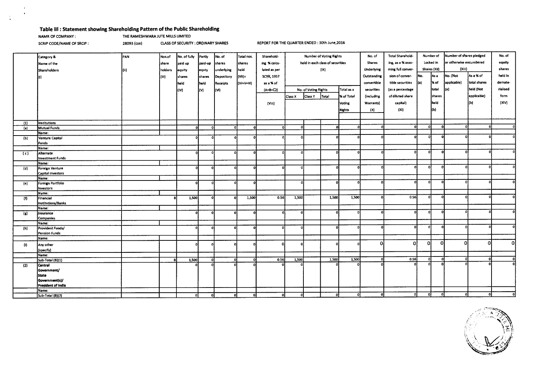### **Table Ill : Statement showing Shareholding Pattern of the Public Shareholding**

 $\ddot{\phantom{a}}$ 

 $\frac{1}{4}$ 

NAMR OF COMPANY : THE RAMESHWARA JUTE MILLS LIMITED

SCRIP **CODE/NAME OF SRCIP :** 28093 **(cse)** CLASS OF SECURITY : ORDINARY SHARES **REPORT FOR THE QUARTER ENDED : 30th June,2016** 

|                   | Category &              | PAN   | Nos.of  | No. of fully | Partly       | No. of     | Total nos.   | Sharehold-        | <b>Number of Voting Rights</b>   |                                    | No. of   | Total Sharehold-  | Number of         |                   | Number of shares pledged |                         | No. of      |              |              |
|-------------------|-------------------------|-------|---------|--------------|--------------|------------|--------------|-------------------|----------------------------------|------------------------------------|----------|-------------------|-------------------|-------------------|--------------------------|-------------------------|-------------|--------------|--------------|
|                   | Name of the             |       | share   | paid up      | paid-up      | shares     | shares       | ing % caicu-      | held in each class of securities |                                    |          | <b>Shares</b>     | ing, as a % assu- |                   | Locked in                | or otherwise encumbered |             | equity       |              |
|                   |                         |       |         |              |              |            |              |                   |                                  | (1X)                               |          |                   |                   | ming full conver- |                          | Shares (Xil)            | (Xiii)      |              | shares       |
|                   | Shareholders            | (iii) | holders | equity       | lequty       | underlying | held         | lated as per      |                                  |                                    |          |                   | Underlying        |                   |                          |                         |             |              |              |
|                   | (1)                     |       | (iii)   | shares       | shares       | Depository | (VII)=       | <b>SCRR, 1957</b> |                                  |                                    |          |                   | Outstanding       | sion of conver-   | INo.                     | As a                    | No. (Not    | As a % of    | held in      |
|                   |                         |       |         | held         | held         | Receipts   | (IV+V+Vi)    | as a % of         |                                  |                                    |          |                   | convertible       | tible securities  | (a)                      | % of                    | applicable) | total shares | demate-      |
|                   |                         |       |         | ltiv)        | (V)          | (VI)       |              | $(A + B + C2)$    |                                  | No. of Voting Rights<br>Total as a |          | securities        | (as a percentage  |                   | total                    | (a)                     | held (Not   | rialised     |              |
|                   |                         |       |         |              |              |            |              |                   | <b>Class X</b>                   | Total<br>Class Y                   |          | <b>X</b> of Total | (including        | of diluted share  |                          | shares                  |             | applicable)  | form         |
|                   |                         |       |         |              |              |            |              |                   |                                  |                                    |          |                   |                   |                   |                          |                         |             |              |              |
|                   |                         |       |         |              |              |            |              | (Viii)            |                                  |                                    |          | <b>Voting</b>     | Warrants)         | capital)          |                          | <b>I</b> held           |             | ľ(b)         | (XIV)        |
|                   |                         |       |         |              |              |            |              |                   |                                  |                                    |          | <b>Rights</b>     | (X)               | (Xi)              |                          | l(b)                    |             |              |              |
|                   |                         |       |         |              |              |            |              |                   |                                  |                                    |          |                   |                   |                   |                          |                         |             |              |              |
| (1)               | Institutions            |       |         |              |              |            |              |                   |                                  |                                    |          |                   |                   |                   |                          |                         |             |              |              |
| (a)               | Mutual Funds            |       |         | o۱           | $\Omega$     | Ωľ         | $\mathbf{a}$ | ol                | ΩI                               |                                    | Ö        |                   |                   | O                 | $\Omega$                 |                         |             |              |              |
|                   | Name:                   |       |         |              |              |            |              |                   |                                  |                                    |          |                   |                   |                   |                          |                         |             |              |              |
| (b)               | Venture Capital         |       |         | n            | $\mathbf{C}$ |            | f.           | $\Omega$          |                                  |                                    |          |                   |                   | $\Omega$          | οI                       | $\Omega$                |             |              |              |
|                   | Funds                   |       |         |              |              |            |              |                   |                                  |                                    |          |                   |                   |                   |                          |                         |             |              |              |
|                   | Name:                   |       |         |              |              |            |              |                   |                                  |                                    |          |                   |                   |                   |                          |                         |             |              |              |
| (c)               | Alternate               |       |         |              | n            | n          |              | n.                |                                  |                                    |          |                   |                   | n                 | -ni                      |                         | ٨l          |              | Ω            |
|                   | <b>Investment Funds</b> |       |         |              |              |            |              |                   |                                  |                                    |          |                   |                   |                   |                          |                         |             |              |              |
|                   | Name:                   |       |         |              |              |            |              |                   |                                  |                                    |          |                   |                   |                   |                          |                         |             |              |              |
| (d)               | Foreign Venture         |       |         |              | £            |            |              | $\Omega$          |                                  |                                    |          |                   |                   | o                 | n.                       |                         | ٨l          |              | ΩI           |
|                   | Capital investors       |       |         |              |              |            |              |                   |                                  |                                    |          |                   |                   |                   |                          |                         |             |              |              |
|                   | Name:                   |       |         |              |              |            |              |                   |                                  |                                    |          |                   |                   |                   |                          |                         |             |              |              |
| (e)               | Foreign Portfolio       |       |         | -ol          | n            |            |              |                   |                                  |                                    |          |                   |                   |                   | -ol                      |                         | n           |              | ΩI           |
|                   | Investors               |       |         |              |              |            |              |                   |                                  |                                    |          |                   |                   |                   |                          |                         |             |              |              |
|                   | Name:                   |       |         |              |              |            |              |                   |                                  |                                    |          |                   |                   |                   |                          |                         | ωı          |              | ΩI           |
| (0)               | Financial               |       |         | 1,500        | O            |            | 1,500        | 0.56              | 1,500                            |                                    | 1,500    | 1,500             |                   | 0.S6              | Ωİ                       |                         |             |              |              |
|                   | Institutions/Banks      |       |         |              |              |            |              |                   |                                  |                                    |          |                   |                   |                   |                          |                         |             |              |              |
|                   | Name:                   |       |         |              |              |            | $\sqrt{2}$   |                   |                                  |                                    | $\Omega$ |                   |                   |                   | 0                        |                         | Λ           |              | 0            |
| (g)               | Insurance               |       |         | $\mathbf{o}$ | -n           | n          |              | οl                |                                  |                                    |          |                   |                   |                   |                          |                         |             |              |              |
|                   | Companies               |       |         |              |              |            |              |                   |                                  |                                    |          |                   |                   |                   |                          |                         |             |              |              |
|                   | Name:                   |       |         | $\Omega$     | $\Omega$     |            | O            | οl                |                                  |                                    | 0        |                   |                   | O                 |                          |                         |             |              | n            |
| (h)               | Provident Funds/        |       |         |              |              |            |              |                   |                                  |                                    |          |                   |                   |                   |                          |                         |             |              |              |
|                   | Pension Funds<br>Name:  |       |         |              |              |            |              |                   |                                  |                                    |          |                   |                   |                   |                          |                         |             |              |              |
|                   |                         |       |         |              |              |            |              |                   |                                  |                                    |          |                   | n                 | $\Omega$          | Ωl                       | D.                      | ി           | ി            | $\Omega$     |
| $\left( i\right)$ | Any other               |       |         |              |              |            |              |                   |                                  |                                    |          |                   |                   |                   |                          |                         |             |              |              |
|                   | (specify)               |       |         |              |              |            |              |                   |                                  |                                    |          |                   |                   |                   |                          |                         |             |              |              |
|                   | Name:                   |       |         |              |              |            |              |                   |                                  |                                    |          |                   |                   | 0.56              | n                        | Ωł                      | οI          | ۵I           | οl           |
|                   | Sub-Total (B)(1)        |       |         | 1,500        | Ωi           |            | n            | 0.56              | 1,500                            |                                    | 1,500    | 1,500             |                   |                   |                          |                         |             |              | $\mathbf{0}$ |
| (2)               | <b>Central</b>          |       |         |              |              |            |              |                   |                                  |                                    |          |                   |                   |                   |                          |                         |             |              |              |
|                   | Government/             |       |         |              |              |            |              |                   |                                  |                                    |          |                   |                   |                   |                          |                         |             |              |              |
|                   | <b>State</b>            |       |         |              |              |            |              |                   |                                  |                                    |          |                   |                   |                   |                          |                         |             |              |              |
|                   | Government(s)/          |       |         |              |              |            |              |                   |                                  |                                    |          |                   |                   |                   |                          |                         |             |              |              |
|                   | President of India      |       |         |              |              |            |              |                   |                                  |                                    |          |                   |                   |                   |                          |                         |             |              |              |
|                   | Name:                   |       |         |              |              |            |              |                   |                                  |                                    |          |                   |                   |                   |                          |                         |             |              | οl           |
|                   | Sub-Total (B)(2)        |       |         | οI           | οI           | οI         | $\Omega$     | ΩI                |                                  |                                    |          |                   |                   |                   |                          |                         |             |              |              |

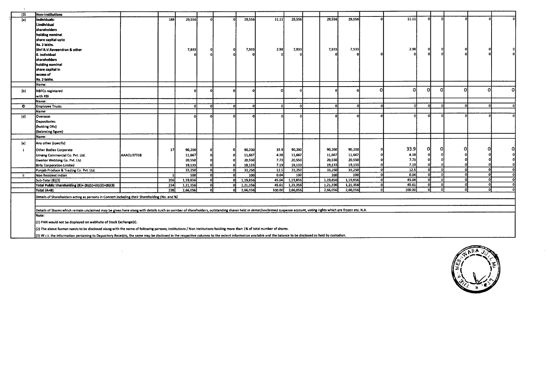| (3) | Non-Institutions                                                                                                                                                                                                     |            |     |          |    |              |          |        |          |          |          |          |        |          |          |          |          |   |
|-----|----------------------------------------------------------------------------------------------------------------------------------------------------------------------------------------------------------------------|------------|-----|----------|----|--------------|----------|--------|----------|----------|----------|----------|--------|----------|----------|----------|----------|---|
| (a) | individuals-                                                                                                                                                                                                         |            | 188 | 29,556   |    |              | 29,556   | 11.11  | 29,556   | 29,556   | 29,556   | Ω        | 11.11  | n.       |          |          |          |   |
|     | i.Individuai                                                                                                                                                                                                         |            |     |          |    |              |          |        |          |          |          |          |        |          |          |          |          |   |
|     | shareholders                                                                                                                                                                                                         |            |     |          |    |              |          |        |          |          |          |          |        |          |          |          |          |   |
|     | hoiding nominal                                                                                                                                                                                                      |            |     |          |    |              |          |        |          |          |          |          |        |          |          |          |          |   |
|     | share capital upto                                                                                                                                                                                                   |            |     |          |    |              |          |        |          |          |          |          |        |          |          |          |          |   |
|     | Rs. 2 lakhs.                                                                                                                                                                                                         |            |     |          |    |              |          |        |          |          |          |          |        |          |          |          |          |   |
|     | Shri R.V.Raveendran & other                                                                                                                                                                                          |            |     | 7,933    |    | 0            | 7,933    | 2.98   | 7,933    | 7,933    | 7,933    |          | 2.98   | o        |          |          |          |   |
|     | ii. Individual                                                                                                                                                                                                       |            |     |          |    |              |          |        |          |          |          |          |        | n        |          |          |          |   |
|     | shareholders                                                                                                                                                                                                         |            |     |          |    |              |          |        |          |          |          |          |        |          |          |          |          |   |
|     | holding nominal                                                                                                                                                                                                      |            |     |          |    |              |          |        |          |          |          |          |        |          |          |          |          |   |
|     | share capital in                                                                                                                                                                                                     |            |     |          |    |              |          |        |          |          |          |          |        |          |          |          |          |   |
|     | excess of                                                                                                                                                                                                            |            |     |          |    |              |          |        |          |          |          |          |        |          |          |          |          |   |
|     | Rs. 2 lakhs.                                                                                                                                                                                                         |            |     |          |    |              |          |        |          |          |          |          |        |          |          |          |          |   |
|     | Name:                                                                                                                                                                                                                |            |     |          |    |              |          |        |          |          |          |          |        |          |          |          |          |   |
| (b) | NBFCs registered                                                                                                                                                                                                     |            |     |          |    |              |          |        | O        |          |          | $\Omega$ | ٥I     | ΩI       | 0l       | ി        | Οl       | n |
|     | with RBi                                                                                                                                                                                                             |            |     |          |    |              |          |        |          |          |          |          |        |          |          |          |          |   |
|     | Name:                                                                                                                                                                                                                |            |     |          |    |              |          |        |          |          |          |          |        |          |          |          |          |   |
| O   | <b>Employee Trusts</b>                                                                                                                                                                                               |            |     |          | O. | $\Omega$     | $\Omega$ |        | - 01     |          |          | 0        | -nl    | <b>O</b> |          | $\Omega$ |          |   |
|     |                                                                                                                                                                                                                      |            |     |          |    |              |          |        |          |          |          |          |        |          |          |          |          |   |
|     | Name:                                                                                                                                                                                                                |            |     |          |    |              |          |        |          |          |          |          |        | nl       |          |          |          |   |
| (d) | Overseas                                                                                                                                                                                                             |            |     |          |    |              |          |        |          |          |          |          |        |          |          |          |          |   |
|     | <b>Depositories</b>                                                                                                                                                                                                  |            |     |          |    |              |          |        |          |          |          |          |        |          |          |          |          |   |
|     | (holding DRs)                                                                                                                                                                                                        |            |     |          |    |              |          |        |          |          |          |          |        |          |          |          |          |   |
|     | (baiancing figure)                                                                                                                                                                                                   |            |     |          |    |              |          |        |          |          |          |          |        |          |          |          |          |   |
|     | Name:                                                                                                                                                                                                                |            |     |          |    |              |          |        |          |          |          |          |        |          |          |          |          |   |
| (e) | Any other (specify)                                                                                                                                                                                                  |            |     |          |    |              |          |        |          |          |          |          |        |          |          |          |          |   |
|     | Other Bodies Corporate                                                                                                                                                                                               |            | 17  | 90,200   |    |              | 90,200   | 33.9   | 90,200   | 90,200   | 90,200   |          | 33.9   | ΟI       |          |          |          |   |
|     | Umang Commercial Co. Pvt. Ltd.                                                                                                                                                                                       | AAACU3731B |     | 11,667   |    |              | 11,667   | 4.38   | 11,667   | 11,667   | 11,667   |          | 4.38   | o        |          |          |          |   |
|     | Gwalior Webbing Co. Pvt. Ltd.                                                                                                                                                                                        |            |     | 20,550   |    |              | 20,550   | 7.73   | 20,550   | 20,550   | 20,550   |          | 7.73   | 0        |          |          |          |   |
|     | <b>Birla Corporation Limited</b>                                                                                                                                                                                     |            |     | 19,133   |    |              | 19,133   | 7.19   | 19,133   | 19,133   | 19,133   |          | 7.19   |          |          |          |          |   |
|     | Punjab Produce & Trading Co. Pvt. Ltd.                                                                                                                                                                               |            |     | 33,250   | ΩI | $\mathbf{0}$ | 33,250   | 12.5   | 33,250   | 33,250   | 33,250   | $\Omega$ | 12.5   | n        |          |          | 0        |   |
| j.  | Non Resident indian                                                                                                                                                                                                  |            |     | 100      |    |              | 100      | 0.04   | 100      | 100      | 100      | $\Omega$ | 0.04   | o        |          |          | 0        |   |
|     | Sub-Totai (B)(3)                                                                                                                                                                                                     |            | 206 | 1,19,856 |    |              | 1,19,856 | 45.04  | 1,19,856 | 1,19,856 | 1,19,856 | $\Omega$ | 45.04  | n        | $\Omega$ |          | n        |   |
|     | Total Public Shareholding (B)= (B)(1)+(B)(2)+(B)(3)                                                                                                                                                                  |            | 214 | 1,21,356 |    |              | 1,21,356 | 45.61  | 1,21,356 | 1,21,356 | 1,21,356 | $\Omega$ | 45.61  | -O.      |          |          | $\Omega$ |   |
|     | Totai (A+B)                                                                                                                                                                                                          |            | 228 | 2,66,056 |    | n.           | 2,66,056 | 100.00 | 2,66,056 | 2,66,056 | 2,66,056 | $\Omega$ | 100.00 | $\Omega$ |          |          |          |   |
|     |                                                                                                                                                                                                                      |            |     |          |    |              |          |        |          |          |          |          |        |          |          |          |          |   |
|     | Details of Sharehoiders acting as persons in Concert including their Shareholding (No. and %)                                                                                                                        |            |     |          |    |              |          |        |          |          |          |          |        |          |          |          |          |   |
|     |                                                                                                                                                                                                                      |            |     |          |    |              |          |        |          |          |          |          |        |          |          |          |          |   |
|     | Details of Shares which remain unclaimed may be given here along with details suich as unmber of shareholders, outstanding shares held in demat/unclaimed suspense account, voting rights which are frozen etc. N.A. |            |     |          |    |              |          |        |          |          |          |          |        |          |          |          |          |   |
|     | Note:                                                                                                                                                                                                                |            |     |          |    |              |          |        |          |          |          |          |        |          |          |          |          |   |
|     |                                                                                                                                                                                                                      |            |     |          |    |              |          |        |          |          |          |          |        |          |          |          |          |   |
|     | (1) PAN would not be displayed on webhsite of 5tock Exchange(s).                                                                                                                                                     |            |     |          |    |              |          |        |          |          |          |          |        |          |          |          |          |   |
|     | (2) The above format needs to be disclosed along with the name of following persons; Institutions / Non institutions holding more than 1% of total number of shares.                                                 |            |     |          |    |              |          |        |          |          |          |          |        |          |          |          |          |   |
|     | (3) W.r.t. the information pertaining to Depository Receipts, the same may be disclosed in the respective columns to the extent information available and the balance to be disclosed as held by custodian.          |            |     |          |    |              |          |        |          |          |          |          |        |          |          |          |          |   |
|     |                                                                                                                                                                                                                      |            |     |          |    |              |          |        |          |          |          |          |        |          |          |          |          |   |

 $\mathcal{L}^{\text{max}}_{\text{max}}$